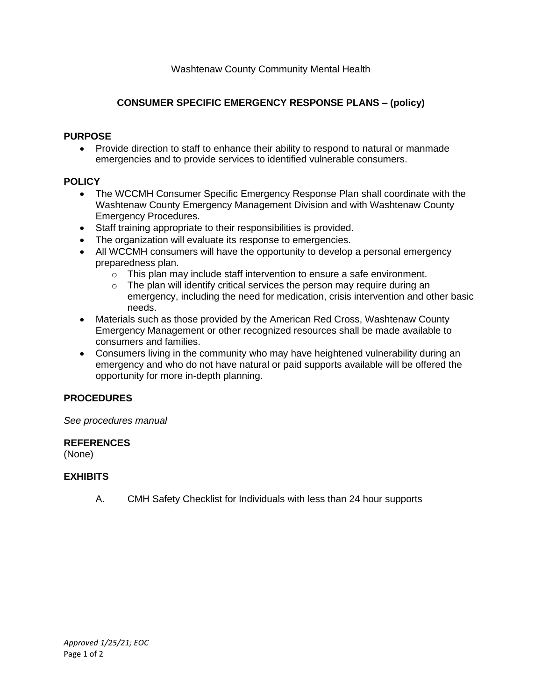## **CONSUMER SPECIFIC EMERGENCY RESPONSE PLANS – (policy)**

#### **PURPOSE**

• Provide direction to staff to enhance their ability to respond to natural or manmade emergencies and to provide services to identified vulnerable consumers.

## **POLICY**

- The WCCMH Consumer Specific Emergency Response Plan shall coordinate with the Washtenaw County Emergency Management Division and with Washtenaw County Emergency Procedures.
- Staff training appropriate to their responsibilities is provided.
- The organization will evaluate its response to emergencies.
- All WCCMH consumers will have the opportunity to develop a personal emergency preparedness plan.
	- o This plan may include staff intervention to ensure a safe environment.
	- $\circ$  The plan will identify critical services the person may require during an emergency, including the need for medication, crisis intervention and other basic needs.
- Materials such as those provided by the American Red Cross, Washtenaw County Emergency Management or other recognized resources shall be made available to consumers and families.
- Consumers living in the community who may have heightened vulnerability during an emergency and who do not have natural or paid supports available will be offered the opportunity for more in-depth planning.

## **PROCEDURES**

*See procedures manual*

#### **REFERENCES**

(None)

## **EXHIBITS**

A. CMH Safety Checklist for Individuals with less than 24 hour supports